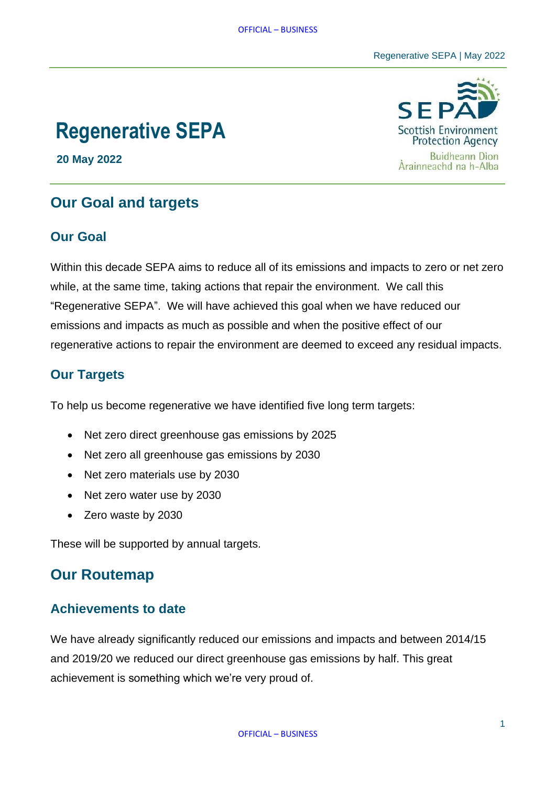#### Regenerative SEPA | May 2022

# **Regenerative SEPA**

**20 May 2022**

# **Our Goal and targets**

### **Our Goal**

Within this decade SEPA aims to reduce all of its emissions and impacts to zero or net zero while, at the same time, taking actions that repair the environment. We call this "Regenerative SEPA". We will have achieved this goal when we have reduced our emissions and impacts as much as possible and when the positive effect of our regenerative actions to repair the environment are deemed to exceed any residual impacts.

## **Our Targets**

To help us become regenerative we have identified five long term targets:

- Net zero direct greenhouse gas emissions by 2025
- Net zero all greenhouse gas emissions by 2030
- Net zero materials use by 2030
- Net zero water use by 2030
- Zero waste by 2030

These will be supported by annual targets.

## **Our Routemap**

#### **Achievements to date**

We have already significantly reduced our emissions and impacts and between 2014/15 and 2019/20 we reduced our direct greenhouse gas emissions by half. This great achievement is something which we're very proud of.

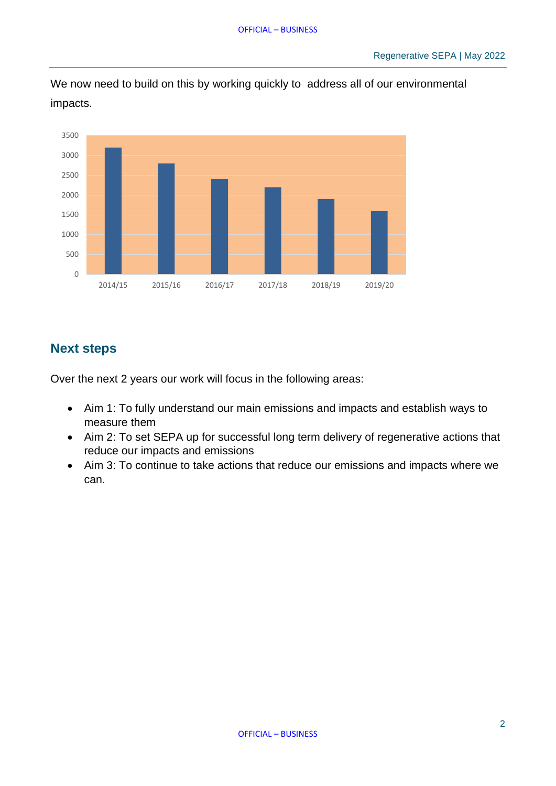We now need to build on this by working quickly to address all of our environmental impacts.



# **Next steps**

Over the next 2 years our work will focus in the following areas:

- Aim 1: To fully understand our main emissions and impacts and establish ways to measure them
- Aim 2: To set SEPA up for successful long term delivery of regenerative actions that reduce our impacts and emissions
- Aim 3: To continue to take actions that reduce our emissions and impacts where we can.